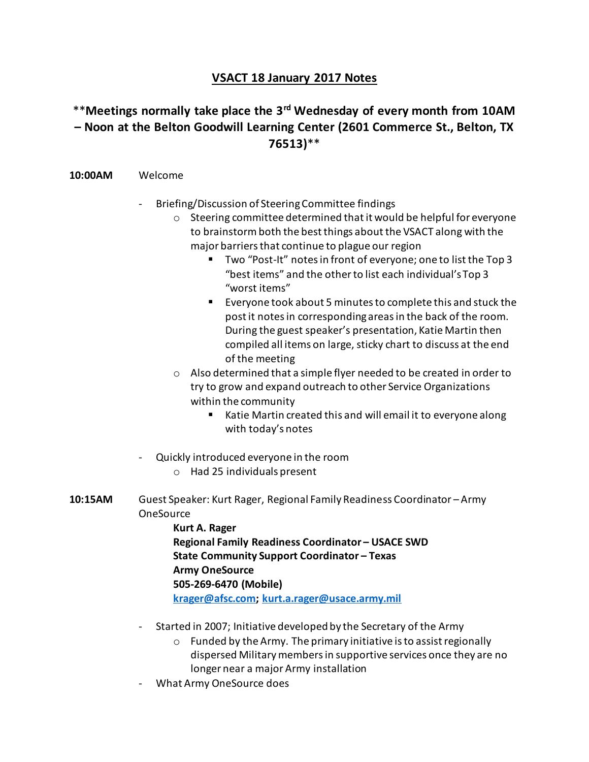## **VSACT 18 January 2017 Notes**

## \*\***Meetings normally take place the 3rd Wednesday of every month from 10AM – Noon at the Belton Goodwill Learning Center (2601 Commerce St., Belton, TX 76513)**\*\*

## **10:00AM** Welcome

- Briefing/Discussion of Steering Committee findings
	- o Steering committee determined that it would be helpful for everyone to brainstorm both the best things about the VSACT along with the major barriers that continue to plague our region
		- Two "Post-It" notes in front of everyone; one to list the Top 3 "best items" and the other to list each individual's Top 3 "worst items"
		- Everyone took about 5 minutes to complete this and stuck the post it notes in corresponding areas in the back of the room. During the guest speaker's presentation, Katie Martin then compiled all items on large, sticky chart to discuss at the end of the meeting
	- o Also determined that a simple flyer needed to be created in order to try to grow and expand outreach to other Service Organizations within the community
		- Katie Martin created this and will email it to everyone along with today's notes
- Quickly introduced everyone in the room
	- o Had 25 individuals present
- **10:15AM** Guest Speaker: Kurt Rager, Regional Family Readiness Coordinator Army **OneSource** 
	- **Kurt A. Rager Regional Family Readiness Coordinator – USACE SWD State Community Support Coordinator – Texas Army OneSource 505-269-6470 (Mobile) [krager@afsc.com;](mailto:krager@afsc.com) [kurt.a.rager@usace.army.mil](mailto:kurt.a.rager@usace.army.mil)**
	- Started in 2007; Initiative developed by the Secretary of the Army
		- $\circ$  Funded by the Army. The primary initiative is to assist regionally dispersed Military members in supportive services once they are no longer near a major Army installation
	- What Army OneSource does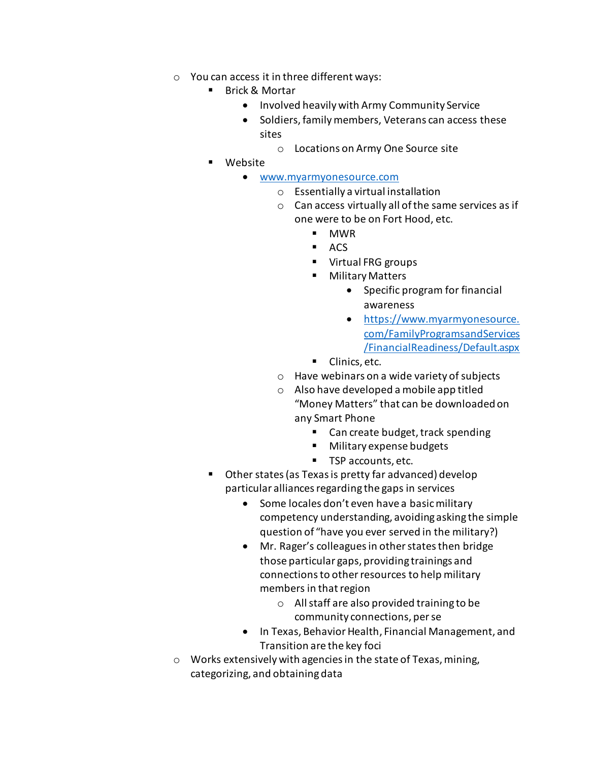- o You can access it in three different ways:
	- Brick & Mortar
		- Involved heavily with Army Community Service
		- Soldiers, family members, Veterans can access these sites
			- o Locations on Army One Source site
	- Website
		- [www.myarmyonesource.com](http://www.myarmyonesource.com/)
			- o Essentially a virtual installation
			- o Can access virtually all of the same services as if one were to be on Fort Hood, etc.
				- MWR
				- $ACS$
				- Virtual FRG groups
				- Military Matters
					- Specific program for financial awareness
					- [https://www.myarmyonesource.](https://www.myarmyonesource.com/FamilyProgramsandServices/FinancialReadiness/Default.aspx) [com/FamilyProgramsandServices](https://www.myarmyonesource.com/FamilyProgramsandServices/FinancialReadiness/Default.aspx) [/FinancialReadiness/Default.aspx](https://www.myarmyonesource.com/FamilyProgramsandServices/FinancialReadiness/Default.aspx)
				- Clinics, etc.
			- o Have webinars on a wide variety of subjects
			- o Also have developed a mobile app titled "Money Matters" that can be downloaded on any Smart Phone
				- Can create budget, track spending
				- Military expense budgets
				- TSP accounts, etc.
	- Other states (as Texas is pretty far advanced) develop particular alliances regarding the gaps in services
		- Some locales don't even have a basic military competency understanding, avoiding asking the simple question of "have you ever served in the military?)
		- Mr. Rager's colleagues in other states then bridge those particular gaps, providing trainings and connections to other resources to help military members in that region
			- o All staff are also provided training to be community connections, per se
		- In Texas, Behavior Health, Financial Management, and Transition are the key foci
- o Works extensively with agencies in the state of Texas, mining, categorizing, and obtaining data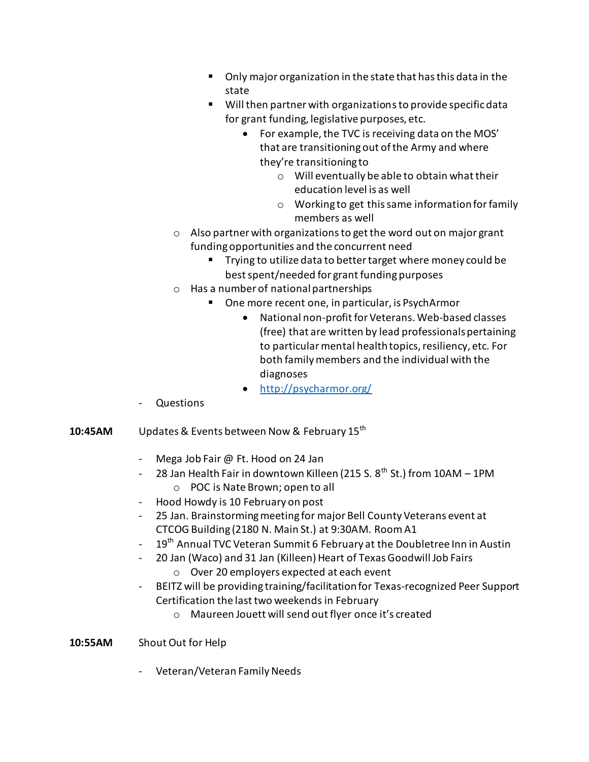- Only major organization in the state that has this data in the state
- Will then partner with organizations to provide specific data for grant funding, legislative purposes, etc.
	- For example, the TVC is receiving data on the MOS' that are transitioning out of the Army and where they're transitioning to
		- o Will eventually be able to obtain what their education level is as well
		- o Working to get this same information for family members as well
- o Also partner with organizations to get the word out on major grant funding opportunities and the concurrent need
	- Trying to utilize data to better target where money could be best spent/needed for grant funding purposes
- o Has a number of national partnerships
	- One more recent one, in particular, is PsychArmor
		- National non-profit for Veterans. Web-based classes (free) that are written by lead professionals pertaining to particular mental health topics, resiliency, etc. For both family members and the individual with the diagnoses
		- <http://psycharmor.org/>
- Questions
- **10:45AM** Updates & Events between Now & February 15<sup>th</sup>
	- Mega Job Fair @ Ft. Hood on 24 Jan
	- 28 Jan Health Fair in downtown Killeen (215 S.  $8^{th}$  St.) from 10AM 1PM o POC is Nate Brown; open to all
	- Hood Howdy is 10 February on post
	- 25 Jan. Brainstorming meeting for major Bell County Veterans event at CTCOG Building (2180 N. Main St.) at 9:30AM. Room A1
	- 19<sup>th</sup> Annual TVC Veteran Summit 6 February at the Doubletree Inn in Austin
	- 20 Jan (Waco) and 31 Jan (Killeen) Heart of Texas Goodwill Job Fairs o Over 20 employers expected at each event
	- BEITZ will be providing training/facilitation for Texas-recognized Peer Support Certification the last two weekends in February
		- o Maureen Jouett will send out flyer once it's created

## **10:55AM** Shout Out for Help

- Veteran/Veteran Family Needs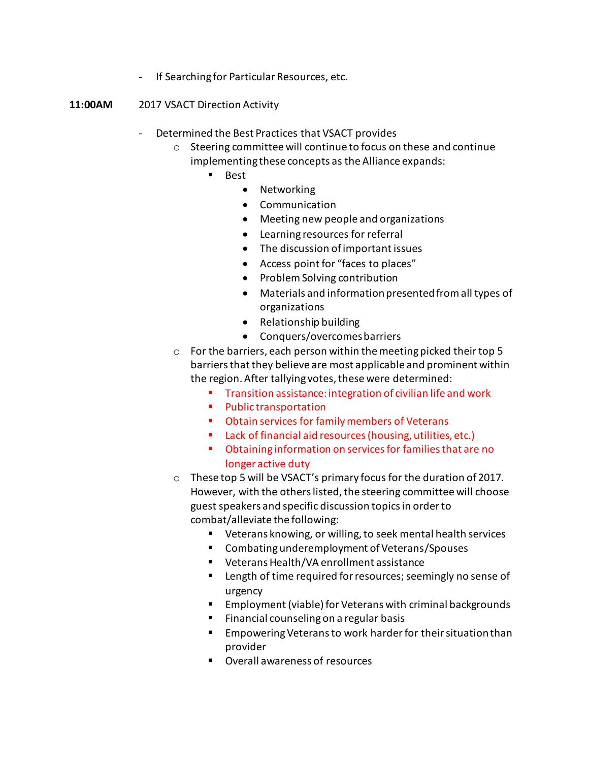- If Searching for Particular Resources, etc.
- **11:00AM** 2017 VSACT Direction Activity
	- Determined the Best Practices that VSACT provides
		- o Steering committee will continue to focus on these and continue implementing these concepts as the Alliance expands:
			- Best
				- Networking
				- Communication
				- Meeting new people and organizations
				- Learning resources for referral
				- The discussion of important issues
				- Access point for "faces to places"
				- Problem Solving contribution
				- Materials and information presented from all types of organizations
				- Relationship building
				- Conquers/overcomes barriers
		- o For the barriers, each person within the meeting picked their top 5 barriers that they believe are most applicable and prominent within the region. After tallying votes, these were determined:
			- Transition assistance: integration of civilian life and work
			- Public transportation
			- Obtain services for family members of Veterans
			- Lack of financial aid resources (housing, utilities, etc.)
			- Obtaining information on services for families that are no longer active duty
		- o These top 5 will be VSACT's primary focus for the duration of 2017. However, with the others listed, the steering committee will choose guest speakers and specific discussion topics in order to combat/alleviate the following:
			- Veterans knowing, or willing, to seek mental health services
			- Combating underemployment of Veterans/Spouses
			- Veterans Health/VA enrollment assistance
			- Length of time required for resources; seemingly no sense of urgency
			- Employment (viable) for Veterans with criminal backgrounds
			- Financial counseling on a regular basis
			- Empowering Veterans to work harder for their situation than provider
			- Overall awareness of resources